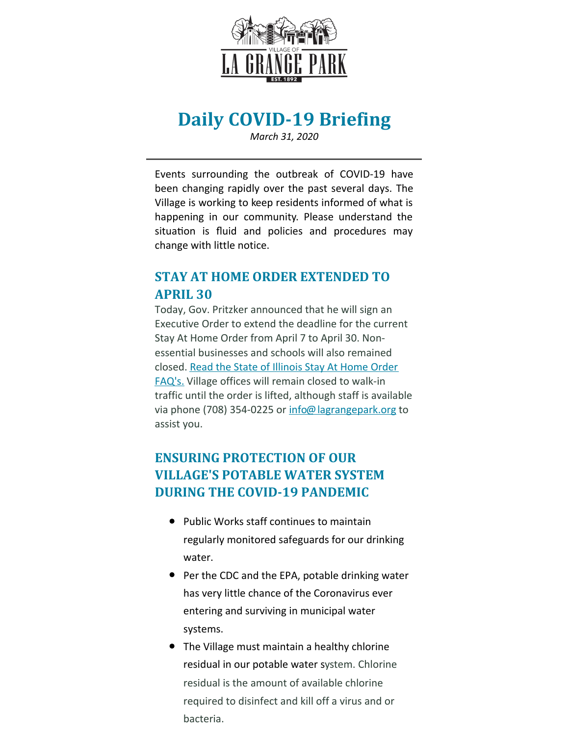

# **Daily COVID-19 Briefing**

*March 31, 2020*

Events surrounding the outbreak of COVID-19 have been changing rapidly over the past several days. The Village is working to keep residents informed of what is happening in our community. Please understand the situation is fluid and policies and procedures may change with little notice.

#### **STAY AT HOME ORDER EXTENDED TO APRIL 30**

Today, Gov. Pritzker announced that he will sign an Executive Order to extend the deadline for the current Stay At Home Order from April 7 to April 30. Nonessential businesses and schools will also remained [closed.](https://coronavirus.illinois.gov/s/stay-at-home-faqs) Read the State of Illinois Stay At Home Order FAQ's. Village offices will remain closed to walk-in traffic until the order is lifted, although staff is available via phone (708) 354-0225 or [info@lagrangepark.org](mailto:info@lagrangepark.org) to assist you.

### **ENSURING PROTECTION OF OUR VILLAGE'S POTABLE WATER SYSTEM DURING THE COVID-19 PANDEMIC**

- Public Works staff continues to maintain regularly monitored safeguards for our drinking water.
- Per the CDC and the EPA, potable drinking water has very little chance of the Coronavirus ever entering and surviving in municipal water systems.
- The Village must maintain a healthy chlorine residual in our potable water system. Chlorine residual is the amount of available chlorine required to disinfect and kill off a virus and or bacteria.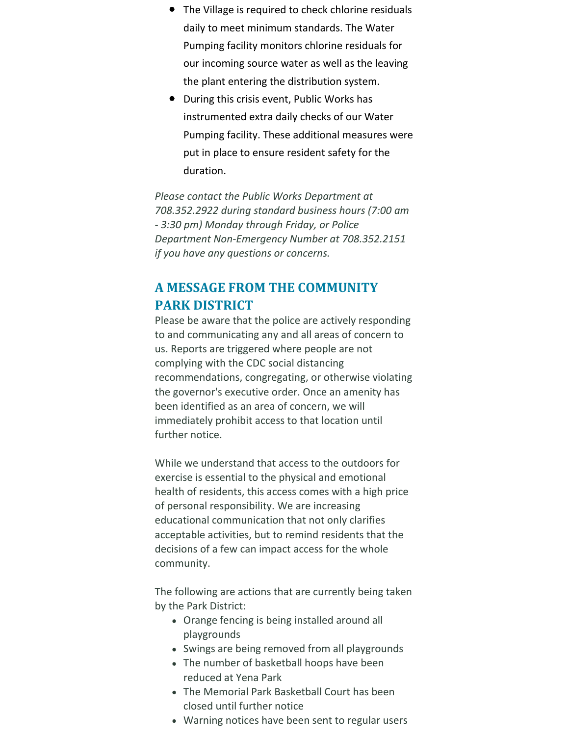- The Village is required to check chlorine residuals daily to meet minimum standards. The Water Pumping facility monitors chlorine residuals for our incoming source water as well as the leaving the plant entering the distribution system.
- During this crisis event, Public Works has instrumented extra daily checks of our Water Pumping facility. These additional measures were put in place to ensure resident safety for the duration.

*Please contact the Public Works Department at 708.352.2922 during standard business hours (7:00 am - 3:30 pm) Monday through Friday, or Police Department Non-Emergency Number at 708.352.2151 if you have any questions or concerns.*

## **A MESSAGE FROM THE COMMUNITY PARK DISTRICT**

Please be aware that the police are actively responding to and communicating any and all areas of concern to us. Reports are triggered where people are not complying with the CDC social distancing recommendations, congregating, or otherwise violating the governor's executive order. Once an amenity has been identified as an area of concern, we will immediately prohibit access to that location until further notice.

While we understand that access to the outdoors for exercise is essential to the physical and emotional health of residents, this access comes with a high price of personal responsibility. We are increasing educational communication that not only clarifies acceptable activities, but to remind residents that the decisions of a few can impact access for the whole community.

The following are actions that are currently being taken by the Park District:

- Orange fencing is being installed around all playgrounds
- Swings are being removed from all playgrounds
- The number of basketball hoops have been reduced at Yena Park
- The Memorial Park Basketball Court has been closed until further notice
- Warning notices have been sent to regular users